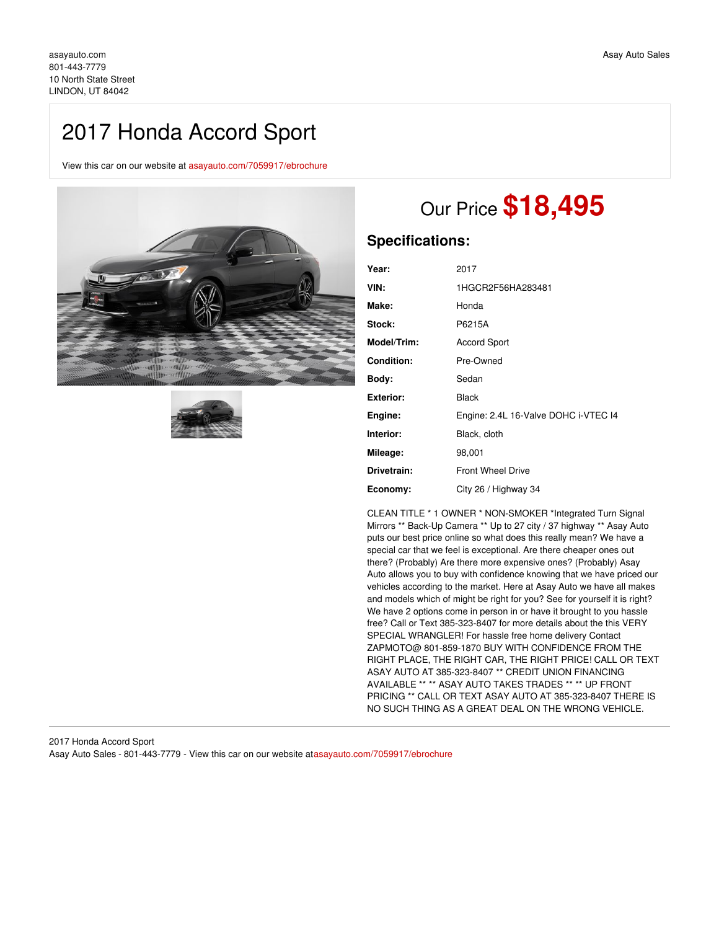## 2017 Honda Accord Sport

View this car on our website at [asayauto.com/7059917/ebrochure](https://asayauto.com/vehicle/7059917/2017-honda-accord-sport-lindon-ut-84042/7059917/ebrochure)





# Our Price **\$18,495**

## **Specifications:**

| Year:             | 2017                                 |
|-------------------|--------------------------------------|
| VIN:              | 1HGCR2F56HA283481                    |
| Make:             | Honda                                |
| Stock:            | P6215A                               |
| Model/Trim:       | <b>Accord Sport</b>                  |
| <b>Condition:</b> | Pre-Owned                            |
| Body:             | Sedan                                |
| <b>Exterior:</b>  | <b>Black</b>                         |
| Engine:           | Engine: 2.4L 16-Valve DOHC i-VTEC I4 |
| Interior:         | Black, cloth                         |
| Mileage:          | 98,001                               |
| Drivetrain:       | <b>Front Wheel Drive</b>             |
| Economy:          | City 26 / Highway 34                 |

CLEAN TITLE \* 1 OWNER \* NON-SMOKER \*Integrated Turn Signal Mirrors \*\* Back-Up Camera \*\* Up to 27 city / 37 highway \*\* Asay Auto puts our best price online so what does this really mean? We have a special car that we feel is exceptional. Are there cheaper ones out there? (Probably) Are there more expensive ones? (Probably) Asay Auto allows you to buy with confidence knowing that we have priced our vehicles according to the market. Here at Asay Auto we have all makes and models which of might be right for you? See for yourself it is right? We have 2 options come in person in or have it brought to you hassle free? Call or Text 385-323-8407 for more details about the this VERY SPECIAL WRANGLER! For hassle free home delivery Contact ZAPMOTO@ 801-859-1870 BUY WITH CONFIDENCE FROM THE RIGHT PLACE, THE RIGHT CAR, THE RIGHT PRICE! CALL OR TEXT ASAY AUTO AT 385-323-8407 \*\* CREDIT UNION FINANCING AVAILABLE \*\* \*\* ASAY AUTO TAKES TRADES \*\* \*\* UP FRONT PRICING \*\* CALL OR TEXT ASAY AUTO AT 385-323-8407 THERE IS NO SUCH THING AS A GREAT DEAL ON THE WRONG VEHICLE.

2017 Honda Accord Sport Asay Auto Sales - 801-443-7779 - View this car on our website at[asayauto.com/7059917/ebrochure](https://asayauto.com/vehicle/7059917/2017-honda-accord-sport-lindon-ut-84042/7059917/ebrochure)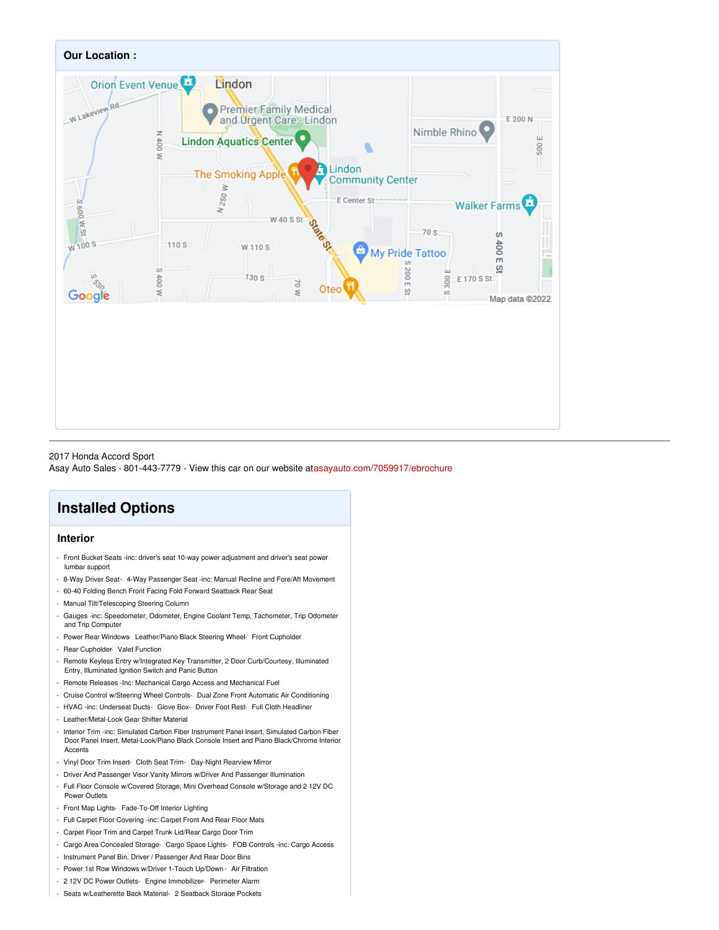

#### 2017 Honda Accord Sport

Asay Auto Sales - 801-443-7779 - View this car on our website at[asayauto.com/7059917/ebrochure](https://asayauto.com/vehicle/7059917/2017-honda-accord-sport-lindon-ut-84042/7059917/ebrochure)

## **Installed Options**

#### **Interior**

- Front Bucket Seats -inc: driver's seat 10-way power adjustment and driver's seat power lumbar support
- 8-Way Driver Seat- 4-Way Passenger Seat -inc: Manual Recline and Fore/Aft Movement
- 60-40 Folding Bench Front Facing Fold Forward Seatback Rear Seat
- Manual Tilt/Telescoping Steering Column
- Gauges -inc: Speedometer, Odometer, Engine Coolant Temp, Tachometer, Trip Odometer and Trip Computer
- Power Rear Windows- Leather/Piano Black Steering Wheel- Front Cupholder
- Rear Cupholder- Valet Function
- Remote Keyless Entry w/Integrated Key Transmitter, 2 Door Curb/Courtesy, Illuminated Entry, Illuminated Ignition Switch and Panic Button
- Remote Releases -Inc: Mechanical Cargo Access and Mechanical Fuel
- Cruise Control w/Steering Wheel Controls- Dual Zone Front Automatic Air Conditioning
- HVAC -inc: Underseat Ducts- Glove Box- Driver Foot Rest- Full Cloth Headliner
- Leather/Metal-Look Gear Shifter Material
- Interior Trim -inc: Simulated Carbon Fiber Instrument Panel Insert, Simulated Carbon Fiber Door Panel Insert, Metal-Look/Piano Black Console Insert and Piano Black/Chrome Interior **Accents**
- Vinyl Door Trim Insert- Cloth Seat Trim- Day-Night Rearview Mirror
- Driver And Passenger Visor Vanity Mirrors w/Driver And Passenger Illumination
- Full Floor Console w/Covered Storage, Mini Overhead Console w/Storage and 2 12V DC Power Outlets
- Front Map Lights- Fade-To-Off Interior Lighting
- Full Carpet Floor Covering -inc: Carpet Front And Rear Floor Mats
- Carpet Floor Trim and Carpet Trunk Lid/Rear Cargo Door Trim
- Cargo Area Concealed Storage- Cargo Space Lights- FOB Controls -inc: Cargo Access
- Instrument Panel Bin, Driver / Passenger And Rear Door Bins
- Power 1st Row Windows w/Driver 1-Touch Up/Down Air Filtration
- 2 12V DC Power Outlets- Engine Immobilizer- Perimeter Alarm
- Seats w/Leatherette Back Material- 2 Seatback Storage Pockets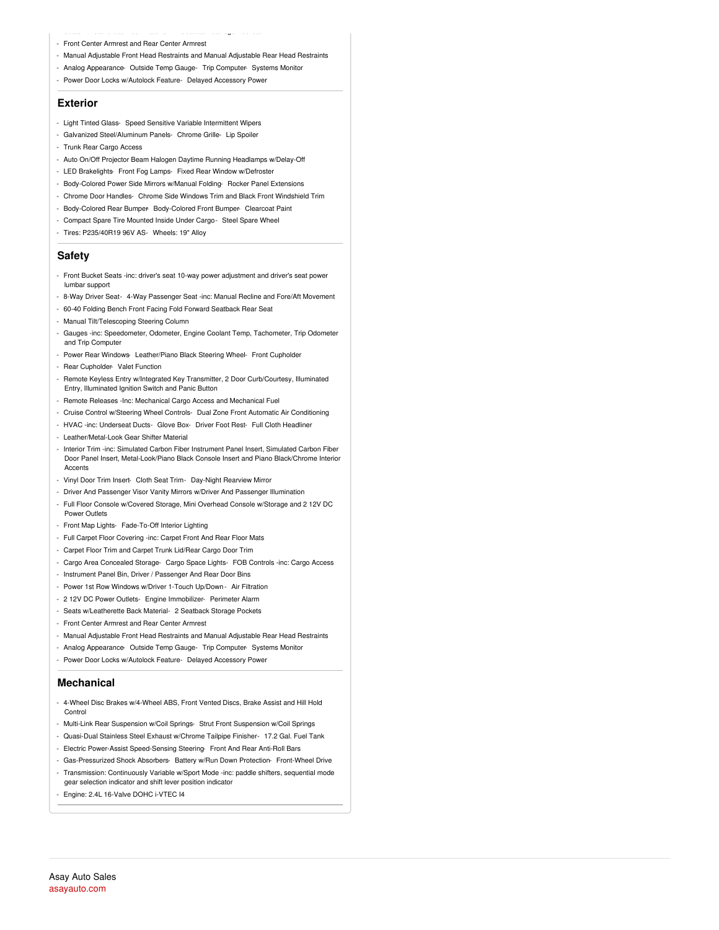- Seats w/Leatherette Back Material- 2 Seatback Storage Pockets - Front Center Armrest and Rear Center Armrest
- Manual Adjustable Front Head Restraints and Manual Adjustable Rear Head Restraints
- Analog Appearance- Outside Temp Gauge- Trip Computer- Systems Monitor
- Power Door Locks w/Autolock Feature- Delayed Accessory Power

#### **Exterior**

- Light Tinted Glass- Speed Sensitive Variable Intermittent Wipers
- Galvanized Steel/Aluminum Panels- Chrome Grille- Lip Spoiler
- Trunk Rear Cargo Access
- Auto On/Off Projector Beam Halogen Daytime Running Headlamps w/Delay-Off
- LED Brakelights- Front Fog Lamps- Fixed Rear Window w/Defroster
- Body-Colored Power Side Mirrors w/Manual Folding- Rocker Panel Extensions
- Chrome Door Handles- Chrome Side Windows Trim and Black Front Windshield Trim
- Body-Colored Rear Bumper- Body-Colored Front Bumper- Clearcoat Paint
- Compact Spare Tire Mounted Inside Under Cargo- Steel Spare Wheel
- Tires: P235/40R19 96V AS- Wheels: 19" Alloy

#### **Safety**

- Front Bucket Seats -inc: driver's seat 10-way power adjustment and driver's seat power lumbar support
- 8-Way Driver Seat- 4-Way Passenger Seat -inc: Manual Recline and Fore/Aft Movement
- 60-40 Folding Bench Front Facing Fold Forward Seatback Rear Seat
- Manual Tilt/Telescoping Steering Column
- Gauges -inc: Speedometer, Odometer, Engine Coolant Temp, Tachometer, Trip Odometer and Trip Computer
- Power Rear Windows-Leather/Piano Black Steering Wheel- Front Cupholder
- Rear Cupholder- Valet Function
- Remote Keyless Entry w/Integrated Key Transmitter, 2 Door Curb/Courtesy, Illuminated Entry, Illuminated Ignition Switch and Panic Button
- Remote Releases -Inc: Mechanical Cargo Access and Mechanical Fuel
- Cruise Control w/Steering Wheel Controls- Dual Zone Front Automatic Air Conditioning
- HVAC -inc: Underseat Ducts- Glove Box- Driver Foot Rest- Full Cloth Headliner
- Leather/Metal-Look Gear Shifter Material
- Interior Trim -inc: Simulated Carbon Fiber Instrument Panel Insert, Simulated Carbon Fiber Door Panel Insert, Metal-Look/Piano Black Console Insert and Piano Black/Chrome Interior Accents
- Vinyl Door Trim Insert- Cloth Seat Trim- Day-Night Rearview Mirror
- Driver And Passenger Visor Vanity Mirrors w/Driver And Passenger Illumination
- Full Floor Console w/Covered Storage, Mini Overhead Console w/Storage and 2 12V DC Power Outlets
- Front Map Lights- Fade-To-Off Interior Lighting
- Full Carpet Floor Covering -inc: Carpet Front And Rear Floor Mats
- Carpet Floor Trim and Carpet Trunk Lid/Rear Cargo Door Trim
- Cargo Area Concealed Storage- Cargo Space Lights- FOB Controls -inc: Cargo Access
- Instrument Panel Bin, Driver / Passenger And Rear Door Bins
- Power 1st Row Windows w/Driver 1-Touch Up/Down Air Filtration
- 2 12V DC Power Outlets- Engine Immobilizer- Perimeter Alarm
- Seats w/Leatherette Back Material- 2 Seatback Storage Pockets
- Front Center Armrest and Rear Center Armrest
- Manual Adjustable Front Head Restraints and Manual Adjustable Rear Head Restraints
- Analog Appearance- Outside Temp Gauge- Trip Computer- Systems Monitor
- Power Door Locks w/Autolock Feature- Delayed Accessory Power

#### **Mechanical**

- 4-Wheel Disc Brakes w/4-Wheel ABS, Front Vented Discs, Brake Assist and Hill Hold Control
- Multi-Link Rear Suspension w/Coil Springs- Strut Front Suspension w/Coil Springs
- Quasi-Dual Stainless Steel Exhaust w/Chrome Tailpipe Finisher- 17.2 Gal. Fuel Tank
- Electric Power-Assist Speed-Sensing Steering- Front And Rear Anti-Roll Bars
- Gas-Pressurized Shock Absorbers- Battery w/Run Down Protection- Front-Wheel Drive
- Transmission: Continuously Variable w/Sport Mode -inc: paddle shifters, sequential mode gear selection indicator and shift lever position indicator
- Engine: 2.4L 16-Valve DOHC i-VTEC I4